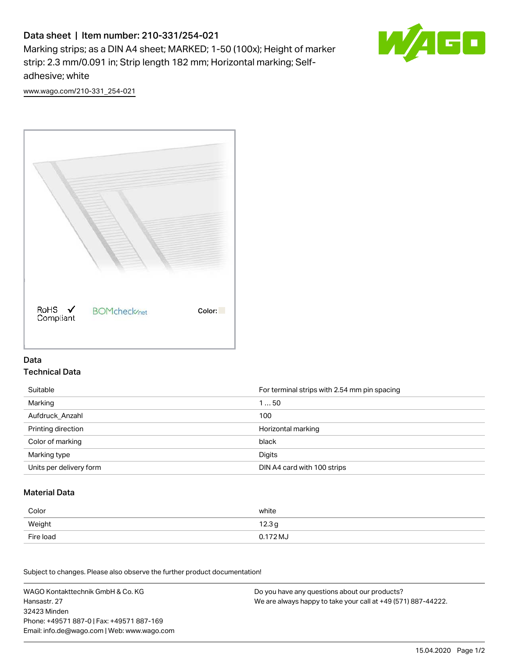# Data sheet | Item number: 210-331/254-021

Marking strips; as a DIN A4 sheet; MARKED; 1-50 (100x); Height of marker strip: 2.3 mm/0.091 in; Strip length 182 mm; Horizontal marking; Selfadhesive; white



[www.wago.com/210-331\\_254-021](http://www.wago.com/210-331_254-021)



### Data Technical Data

| Suitable                | For terminal strips with 2.54 mm pin spacing |
|-------------------------|----------------------------------------------|
| Marking                 | 150                                          |
| Aufdruck Anzahl         | 100                                          |
| Printing direction      | Horizontal marking                           |
| Color of marking        | black                                        |
| Marking type            | Digits                                       |
| Units per delivery form | DIN A4 card with 100 strips                  |

#### Material Data

| Color     | white             |
|-----------|-------------------|
| Weight    | 12.3 <sub>g</sub> |
| Fire load | 0.172 MJ          |

Subject to changes. Please also observe the further product documentation!

WAGO Kontakttechnik GmbH & Co. KG Hansastr. 27 32423 Minden Phone: +49571 887-0 | Fax: +49571 887-169 Email: info.de@wago.com | Web: www.wago.com Do you have any questions about our products? We are always happy to take your call at +49 (571) 887-44222.